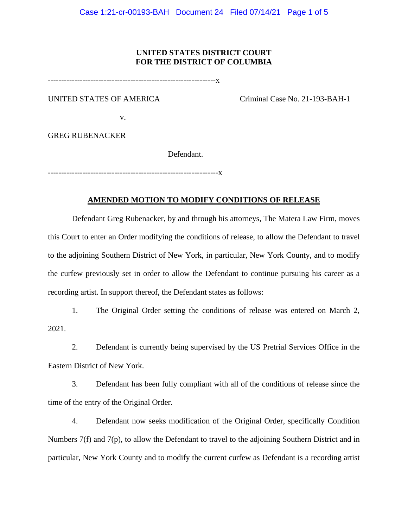#### **UNITED STATES DISTRICT COURT FOR THE DISTRICT OF COLUMBIA**

---------------------------------------------------------------x

UNITED STATES OF AMERICA Criminal Case No. 21-193-BAH-1

v.

GREG RUBENACKER

Defendant.

----------------------------------------------------------------x

#### **AMENDED MOTION TO MODIFY CONDITIONS OF RELEASE**

Defendant Greg Rubenacker, by and through his attorneys, The Matera Law Firm, moves this Court to enter an Order modifying the conditions of release, to allow the Defendant to travel to the adjoining Southern District of New York, in particular, New York County, and to modify the curfew previously set in order to allow the Defendant to continue pursuing his career as a recording artist. In support thereof, the Defendant states as follows:

1. The Original Order setting the conditions of release was entered on March 2, 2021.

2. Defendant is currently being supervised by the US Pretrial Services Office in the Eastern District of New York.

3. Defendant has been fully compliant with all of the conditions of release since the time of the entry of the Original Order.

4. Defendant now seeks modification of the Original Order, specifically Condition Numbers 7(f) and 7(p), to allow the Defendant to travel to the adjoining Southern District and in particular, New York County and to modify the current curfew as Defendant is a recording artist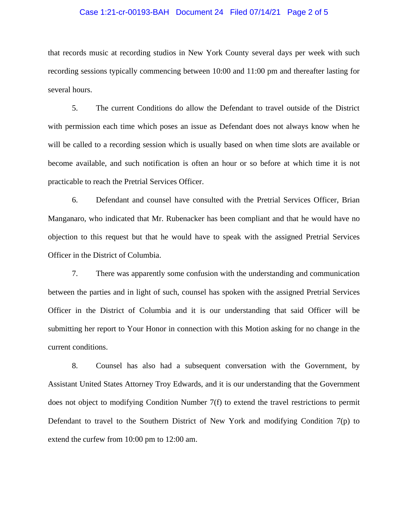#### Case 1:21-cr-00193-BAH Document 24 Filed 07/14/21 Page 2 of 5

that records music at recording studios in New York County several days per week with such recording sessions typically commencing between 10:00 and 11:00 pm and thereafter lasting for several hours.

5. The current Conditions do allow the Defendant to travel outside of the District with permission each time which poses an issue as Defendant does not always know when he will be called to a recording session which is usually based on when time slots are available or become available, and such notification is often an hour or so before at which time it is not practicable to reach the Pretrial Services Officer.

6. Defendant and counsel have consulted with the Pretrial Services Officer, Brian Manganaro, who indicated that Mr. Rubenacker has been compliant and that he would have no objection to this request but that he would have to speak with the assigned Pretrial Services Officer in the District of Columbia.

7. There was apparently some confusion with the understanding and communication between the parties and in light of such, counsel has spoken with the assigned Pretrial Services Officer in the District of Columbia and it is our understanding that said Officer will be submitting her report to Your Honor in connection with this Motion asking for no change in the current conditions.

8. Counsel has also had a subsequent conversation with the Government, by Assistant United States Attorney Troy Edwards, and it is our understanding that the Government does not object to modifying Condition Number 7(f) to extend the travel restrictions to permit Defendant to travel to the Southern District of New York and modifying Condition 7(p) to extend the curfew from 10:00 pm to 12:00 am.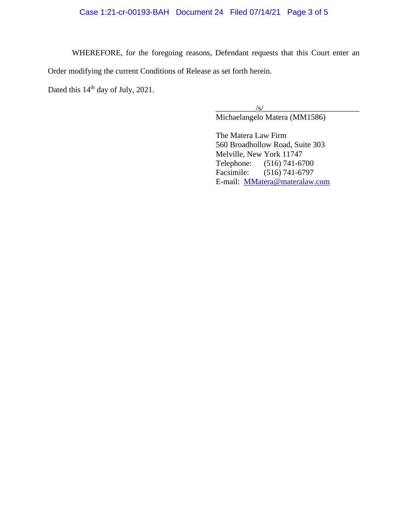## Case 1:21-cr-00193-BAH Document 24 Filed 07/14/21 Page 3 of 5

WHEREFORE, for the foregoing reasons, Defendant requests that this Court enter an Order modifying the current Conditions of Release as set forth herein.

Dated this 14<sup>th</sup> day of July, 2021.

 $\sqrt{s/}$ 

Michaelangelo Matera (MM1586)

The Matera Law Firm 560 Broadhollow Road, Suite 303 Melville, New York 11747 Telephone: (516) 741-6700 Facsimile: (516) 741-6797 E-mail: MMatera@materalaw.com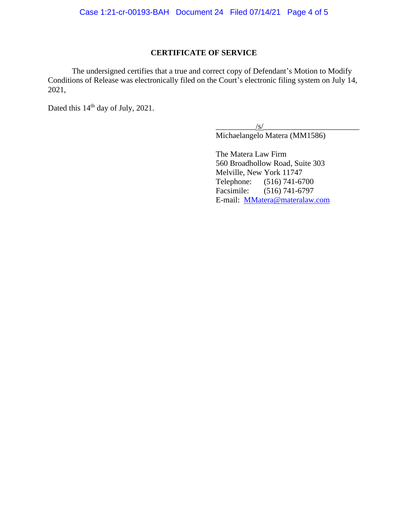### **CERTIFICATE OF SERVICE**

The undersigned certifies that a true and correct copy of Defendant's Motion to Modify Conditions of Release was electronically filed on the Court's electronic filing system on July 14, 2021,

Dated this 14<sup>th</sup> day of July, 2021.

 $\sqrt{s}/\sqrt{s}$ 

Michaelangelo Matera (MM1586)

The Matera Law Firm 560 Broadhollow Road, Suite 303 Melville, New York 11747 Telephone: (516) 741-6700 Facsimile: (516) 741-6797 E-mail: MMatera@materalaw.com